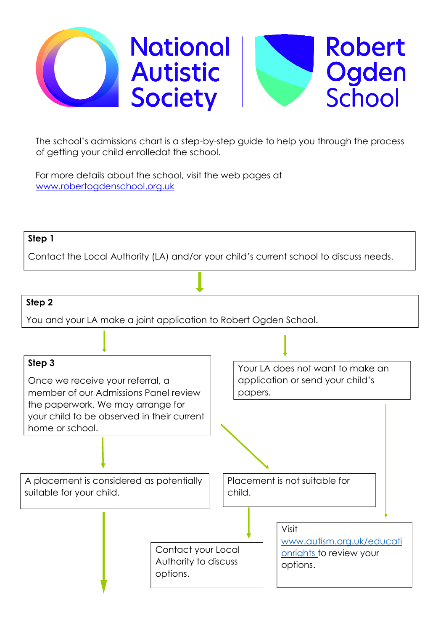

The school's admissions chart is a step-by-step guide to help you through the process of getting your child enrolledat the school.

For more details about the school, visit the web pages at www.robertogdenschool.org.uk